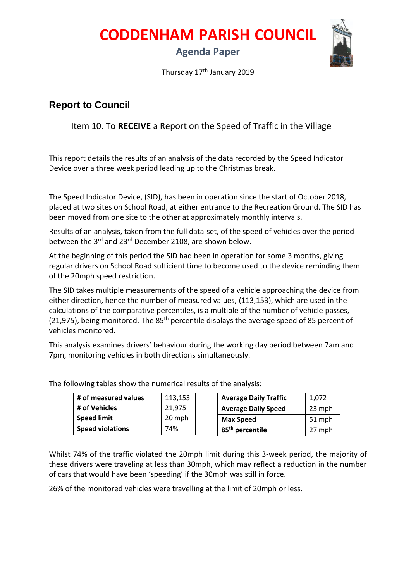**CODDENHAM PARISH COUNCIL**

## **Agenda Paper**



Thursday 17<sup>th</sup> January 2019

## **Report to Council**

Item 10. To **RECEIVE** a Report on the Speed of Traffic in the Village

This report details the results of an analysis of the data recorded by the Speed Indicator Device over a three week period leading up to the Christmas break.

The Speed Indicator Device, (SID), has been in operation since the start of October 2018, placed at two sites on School Road, at either entrance to the Recreation Ground. The SID has been moved from one site to the other at approximately monthly intervals.

Results of an analysis, taken from the full data-set, of the speed of vehicles over the period between the 3<sup>rd</sup> and 23<sup>rd</sup> December 2108, are shown below.

At the beginning of this period the SID had been in operation for some 3 months, giving regular drivers on School Road sufficient time to become used to the device reminding them of the 20mph speed restriction.

The SID takes multiple measurements of the speed of a vehicle approaching the device from either direction, hence the number of measured values, (113,153), which are used in the calculations of the comparative percentiles, is a multiple of the number of vehicle passes, (21,975), being monitored. The  $85<sup>th</sup>$  percentile displays the average speed of 85 percent of vehicles monitored.

This analysis examines drivers' behaviour during the working day period between 7am and 7pm, monitoring vehicles in both directions simultaneously.

| # of measured values    | 113,153 | <b>Average Daily Traffic</b> | 1.072  |
|-------------------------|---------|------------------------------|--------|
| # of Vehicles           | 21.975  | <b>Average Daily Speed</b>   | 23 mph |
| <b>Speed limit</b>      | 20 mph  | <b>Max Speed</b>             | 51 mph |
| <b>Speed violations</b> | 74%     | 85 <sup>th</sup> percentile  | 27 mph |

The following tables show the numerical results of the analysis:

Whilst 74% of the traffic violated the 20mph limit during this 3-week period, the majority of these drivers were traveling at less than 30mph, which may reflect a reduction in the number of cars that would have been 'speeding' if the 30mph was still in force.

26% of the monitored vehicles were travelling at the limit of 20mph or less.